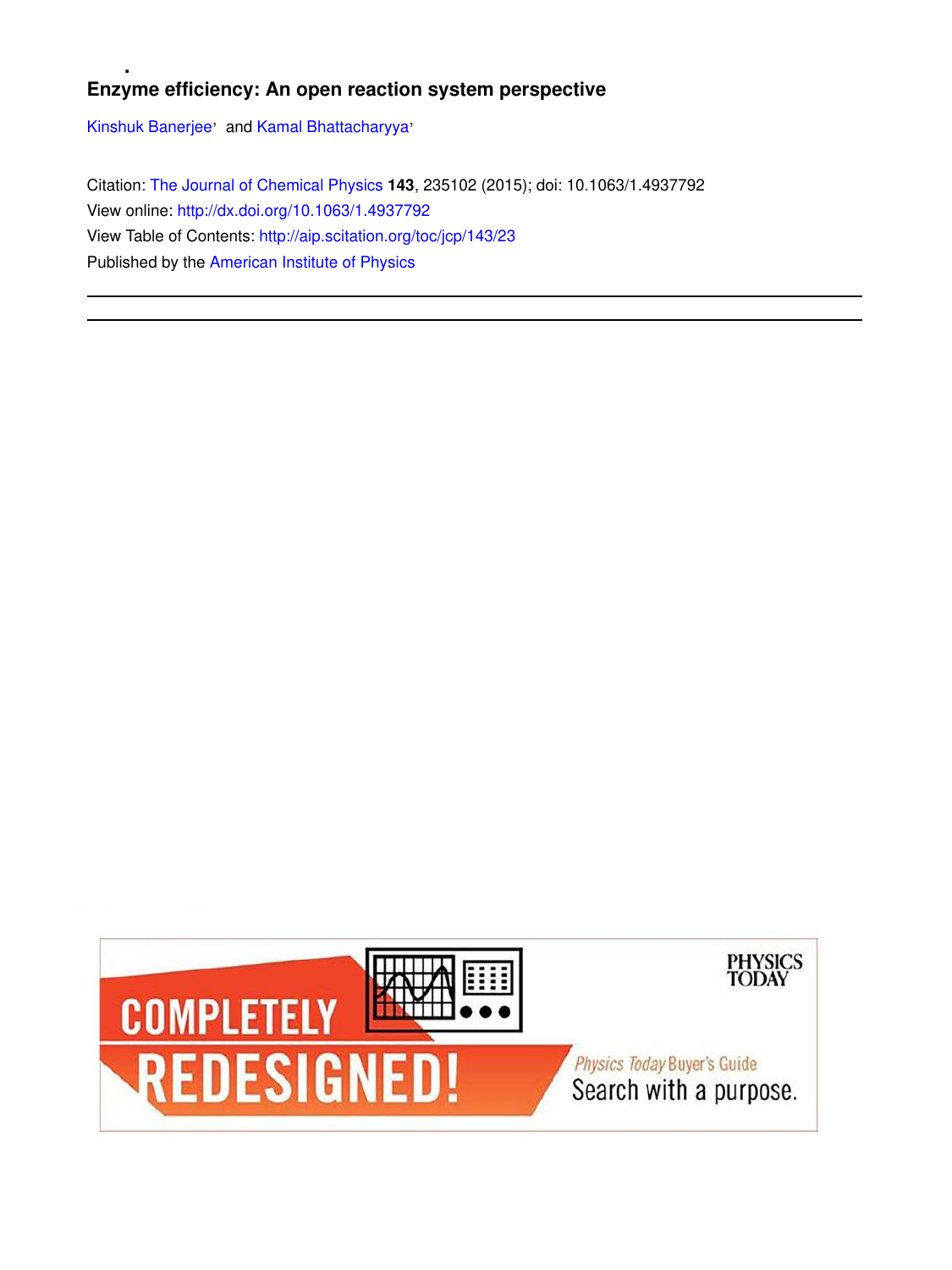# **Enzyme efficiency: An open reaction system perspective**

Kinshuk Banerjee' and Kamal Bhattacharyya'

Citation: The Journal of Chemical Physics **143**, 235102 (2015); doi: 10.1063/1.4937792 View online: http://dx.doi.org/10.1063/1.4937792 View Table of Contents: http://aip.scitation.org/toc/jcp/143/23 Published by the American Institute of Physics

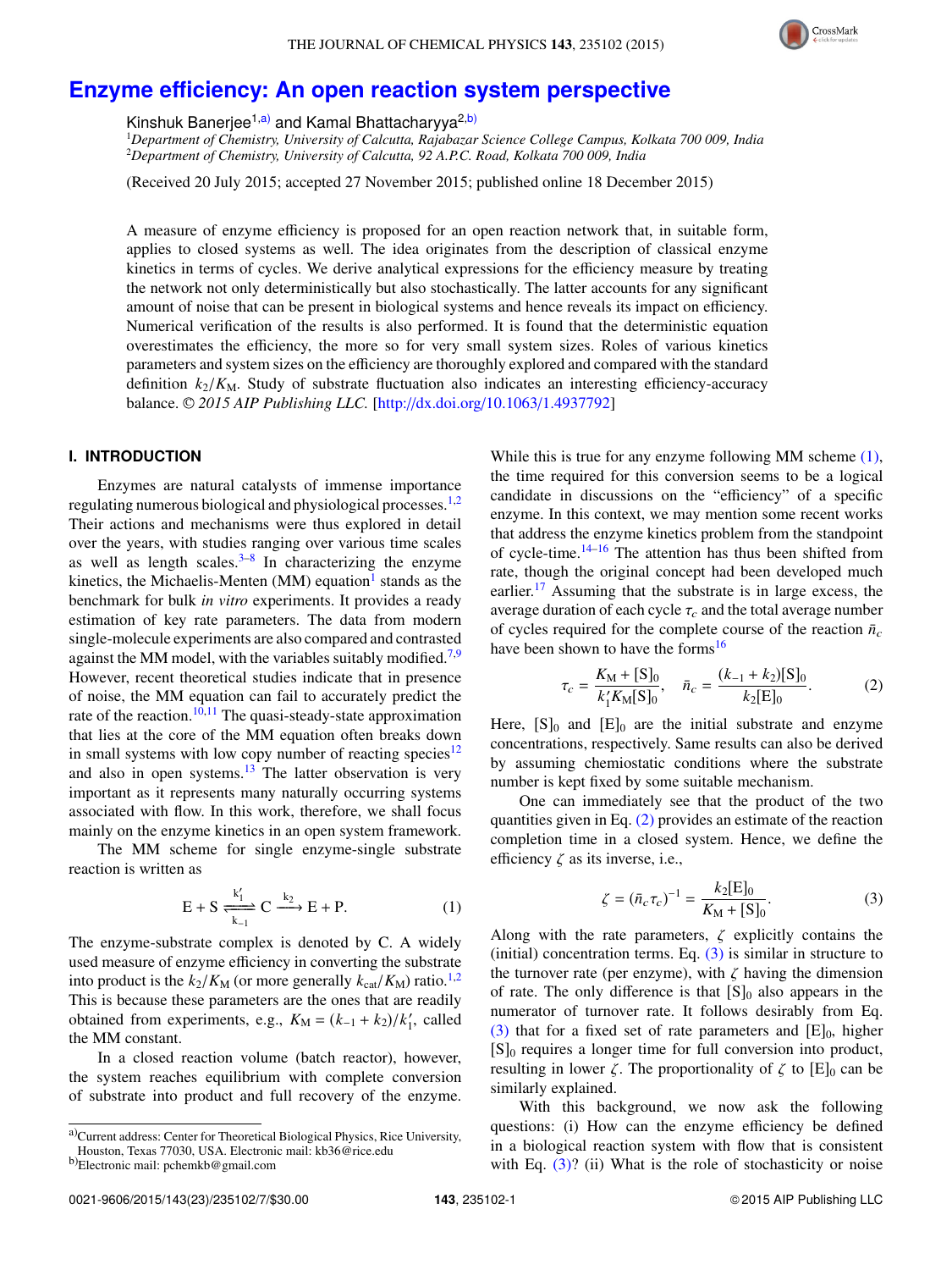

# **Enzyme efficiency: An open reaction system perspective**

Kinshuk Banerjee<sup>1,a)</sup> and Kamal Bhattacharyya<sup>2,b)</sup>

<sup>1</sup>*Department of Chemistry, University of Calcutta, Rajabazar Science College Campus, Kolkata 700 009, India* <sup>2</sup>*Department of Chemistry, University of Calcutta, 92 A.P.C. Road, Kolkata 700 009, India*

(Received 20 July 2015; accepted 27 November 2015; published online 18 December 2015)

A measure of enzyme efficiency is proposed for an open reaction network that, in suitable form, applies to closed systems as well. The idea originates from the description of classical enzyme kinetics in terms of cycles. We derive analytical expressions for the efficiency measure by treating the network not only deterministically but also stochastically. The latter accounts for any significant amount of noise that can be present in biological systems and hence reveals its impact on efficiency. Numerical verification of the results is also performed. It is found that the deterministic equation overestimates the efficiency, the more so for very small system sizes. Roles of various kinetics parameters and system sizes on the efficiency are thoroughly explored and compared with the standard definition  $k_2/K_M$ . Study of substrate fluctuation also indicates an interesting efficiency-accuracy balance. <sup>C</sup> *2015 AIP Publishing LLC.* [http://dx.doi.org/10.1063/1.4937792]

# **I. INTRODUCTION**

Enzymes are natural catalysts of immense importance regulating numerous biological and physiological processes.1,2 Their actions and mechanisms were thus explored in detail over the years, with studies ranging over various time scales as well as length scales. $3-8$  In characterizing the enzyme kinetics, the Michaelis-Menten (MM) equation<sup>1</sup> stands as the benchmark for bulk *in vitro* experiments. It provides a ready estimation of key rate parameters. The data from modern single-molecule experiments are also compared and contrasted against the MM model, with the variables suitably modified.<sup>7,9</sup> However, recent theoretical studies indicate that in presence of noise, the MM equation can fail to accurately predict the rate of the reaction.<sup>10,11</sup> The quasi-steady-state approximation that lies at the core of the MM equation often breaks down in small systems with low copy number of reacting species<sup>12</sup> and also in open systems. $13$  The latter observation is very important as it represents many naturally occurring systems associated with flow. In this work, therefore, we shall focus mainly on the enzyme kinetics in an open system framework.

The MM scheme for single enzyme-single substrate reaction is written as

$$
E + S \xrightarrow[k_1]{k'_1} C \xrightarrow[k_2]{k_2} E + P.
$$
 (1)

The enzyme-substrate complex is denoted by C. A widely used measure of enzyme efficiency in converting the substrate into product is the  $k_2/K_M$  (or more generally  $k_{\text{cat}}/K_M$ ) ratio.<sup>1,2</sup> This is because these parameters are the ones that are readily obtained from experiments, e.g.,  $K_M = (k_{-1} + k_2)/k'_1$  $\frac{7}{1}$ , called the MM constant.

In a closed reaction volume (batch reactor), however, the system reaches equilibrium with complete conversion of substrate into product and full recovery of the enzyme.

While this is true for any enzyme following MM scheme  $(1)$ , the time required for this conversion seems to be a logical candidate in discussions on the "efficiency" of a specific enzyme. In this context, we may mention some recent works that address the enzyme kinetics problem from the standpoint of cycle-time. $14-16$  The attention has thus been shifted from rate, though the original concept had been developed much earlier.<sup>17</sup> Assuming that the substrate is in large excess, the average duration of each cycle  $\tau_c$  and the total average number of cycles required for the complete course of the reaction  $\bar{n}_c$ have been shown to have the forms<sup>16</sup>

$$
\tau_c = \frac{K_{\rm M} + [S]_0}{k_1' K_{\rm M} [S]_0}, \quad \bar{n}_c = \frac{(k_{-1} + k_2) [S]_0}{k_2 [E]_0}.
$$
 (2)

Here,  $[S]_0$  and  $[E]_0$  are the initial substrate and enzyme concentrations, respectively. Same results can also be derived by assuming chemiostatic conditions where the substrate number is kept fixed by some suitable mechanism.

One can immediately see that the product of the two quantities given in Eq. (2) provides an estimate of the reaction completion time in a closed system. Hence, we define the efficiency  $\zeta$  as its inverse, i.e.,

$$
\zeta = (\bar{n}_c \tau_c)^{-1} = \frac{k_2[E]_0}{K_\text{M} + [S]_0}.\tag{3}
$$

Along with the rate parameters,  $\zeta$  explicitly contains the (initial) concentration terms. Eq.  $(3)$  is similar in structure to the turnover rate (per enzyme), with  $\zeta$  having the dimension of rate. The only difference is that  $[S]_0$  also appears in the numerator of turnover rate. It follows desirably from Eq. (3) that for a fixed set of rate parameters and  $[E]_0$ , higher  $[S]_0$  requires a longer time for full conversion into product, resulting in lower  $\zeta$ . The proportionality of  $\zeta$  to  $[E]_0$  can be similarly explained.

With this background, we now ask the following questions: (i) How can the enzyme efficiency be defined in a biological reaction system with flow that is consistent with Eq.  $(3)$ ? (ii) What is the role of stochasticity or noise

a)Current address: Center for Theoretical Biological Physics, Rice University, Houston, Texas 77030, USA. Electronic mail: kb36@rice.edu

b)Electronic mail: pchemkb@gmail.com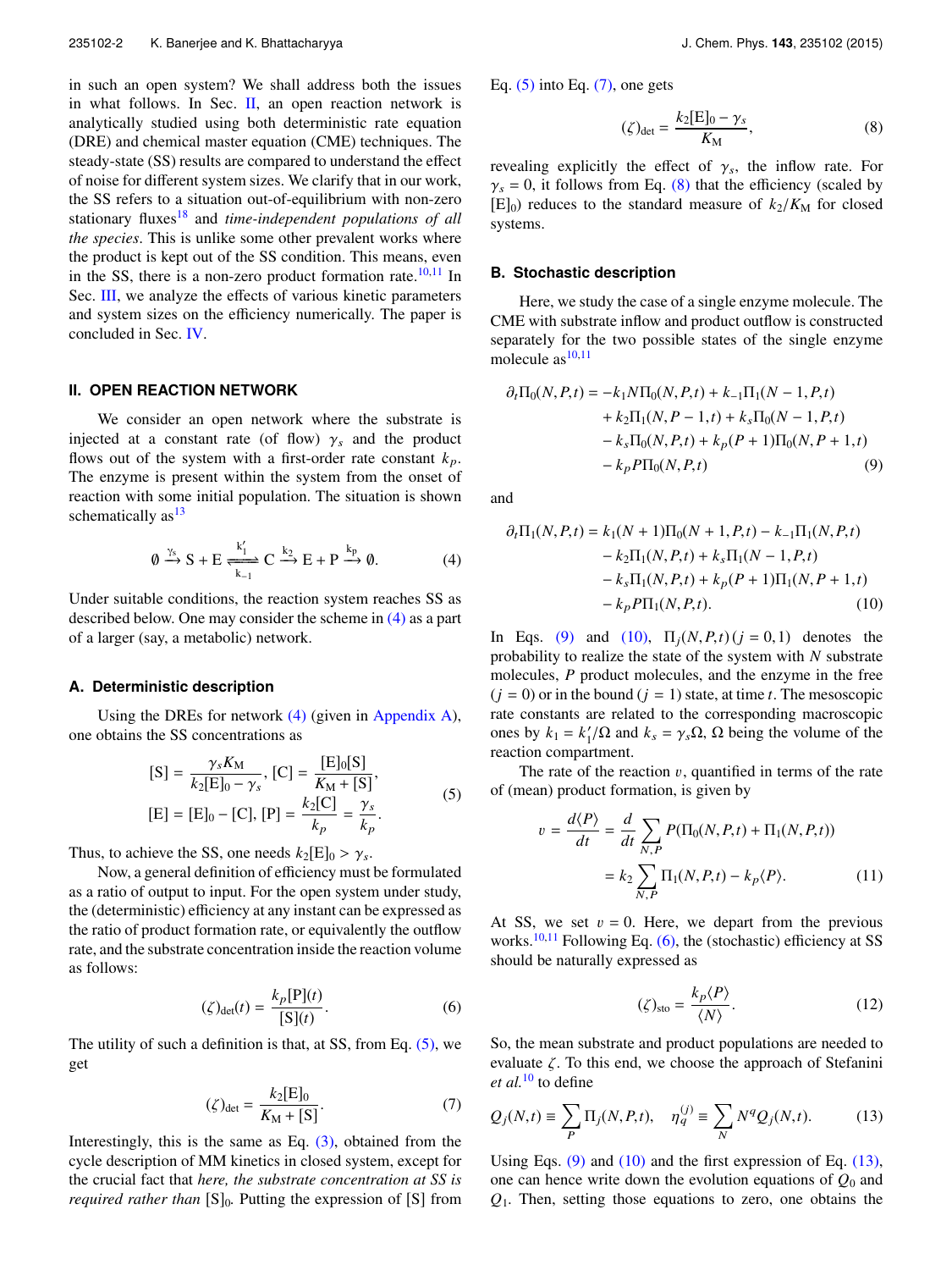in such an open system? We shall address both the issues in what follows. In Sec.  $II$ , an open reaction network is analytically studied using both deterministic rate equation (DRE) and chemical master equation (CME) techniques. The steady-state (SS) results are compared to understand the effect of noise for different system sizes. We clarify that in our work, the SS refers to a situation out-of-equilibrium with non-zero stationary fluxes<sup>18</sup> and *time-independent populations of all the species*. This is unlike some other prevalent works where the product is kept out of the SS condition. This means, even in the SS, there is a non-zero product formation rate. $10,11$  In Sec. III, we analyze the effects of various kinetic parameters and system sizes on the efficiency numerically. The paper is concluded in Sec. IV.

## **II. OPEN REACTION NETWORK**

We consider an open network where the substrate is injected at a constant rate (of flow)  $\gamma_s$  and the product flows out of the system with a first-order rate constant  $k_p$ . The enzyme is present within the system from the onset of reaction with some initial population. The situation is shown schematically as  $13$ 

$$
\emptyset \xrightarrow{\gamma_s} S + E \xrightarrow[k-1]{k_1'} C \xrightarrow{k_2} E + P \xrightarrow{k_p} \emptyset.
$$
 (4)

Under suitable conditions, the reaction system reaches SS as described below. One may consider the scheme in (4) as a part of a larger (say, a metabolic) network.

# **A. Deterministic description**

Using the DREs for network (4) (given in Appendix A), one obtains the SS concentrations as

$$
[S] = \frac{\gamma_s K_M}{k_2 [E]_0 - \gamma_s}, [C] = \frac{[E]_0 [S]}{K_M + [S]},
$$
  

$$
[E] = [E]_0 - [C], [P] = \frac{k_2 [C]}{k_p} = \frac{\gamma_s}{k_p}.
$$
 (5)

Thus, to achieve the SS, one needs  $k_2[E]_0 > \gamma_s$ .

Now, a general definition of efficiency must be formulated as a ratio of output to input. For the open system under study, the (deterministic) efficiency at any instant can be expressed as the ratio of product formation rate, or equivalently the outflow rate, and the substrate concentration inside the reaction volume as follows:

$$
(\zeta)_{\det}(t) = \frac{k_p[\mathbf{P}](t)}{[\mathbf{S}](t)}.\tag{6}
$$

The utility of such a definition is that, at SS, from Eq. (5), we get

$$
(\zeta)_{\det} = \frac{k_2[E]_0}{K_M + [S]}.
$$
 (7)

Interestingly, this is the same as Eq.  $(3)$ , obtained from the cycle description of MM kinetics in closed system, except for the crucial fact that *here, the substrate concentration at SS is required rather than* [S]<sub>0</sub>. Putting the expression of [S] from Eq.  $(5)$  into Eq.  $(7)$ , one gets

$$
(\zeta)_{\det} = \frac{k_2[E]_0 - \gamma_s}{K_M},\tag{8}
$$

revealing explicitly the effect of  $\gamma_s$ , the inflow rate. For  $\gamma_s = 0$ , it follows from Eq. (8) that the efficiency (scaled by  $[E]_0$ ) reduces to the standard measure of  $k_2/K_M$  for closed systems.

## **B. Stochastic description**

Here, we study the case of a single enzyme molecule. The CME with substrate inflow and product outflow is constructed separately for the two possible states of the single enzyme molecule  $as^{10,11}$ 

$$
\partial_t \Pi_0(N, P, t) = -k_1 N \Pi_0(N, P, t) + k_{-1} \Pi_1(N - 1, P, t) \n+ k_2 \Pi_1(N, P - 1, t) + k_s \Pi_0(N - 1, P, t) \n- k_s \Pi_0(N, P, t) + k_p (P + 1) \Pi_0(N, P + 1, t) \n- k_p P \Pi_0(N, P, t)
$$
\n(9)

and

 $\boldsymbol{v}$ 

$$
\partial_t \Pi_1(N, P, t) = k_1(N+1)\Pi_0(N+1, P, t) - k_{-1}\Pi_1(N, P, t) \n- k_2\Pi_1(N, P, t) + k_s\Pi_1(N-1, P, t) \n- k_s\Pi_1(N, P, t) + k_p(P+1)\Pi_1(N, P+1, t) \n- k_p P\Pi_1(N, P, t).
$$
\n(10)

In Eqs. (9) and (10),  $\Pi_i(N, P, t)$  (*j* = 0,1) denotes the probability to realize the state of the system with *N* substrate molecules, *P* product molecules, and the enzyme in the free  $(j = 0)$  or in the bound  $(j = 1)$  state, at time *t*. The mesoscopic rate constants are related to the corresponding macroscopic ones by  $k_1 = k'_1$  $1/\Omega$  and  $k_s = \gamma_s \Omega$ ,  $\Omega$  being the volume of the reaction compartment.

The rate of the reaction  $v$ , quantified in terms of the rate of (mean) product formation, is given by

$$
= \frac{d\langle P\rangle}{dt} = \frac{d}{dt} \sum_{N,P} P(\Pi_0(N,P,t) + \Pi_1(N,P,t))
$$

$$
= k_2 \sum_{N,P} \Pi_1(N,P,t) - k_P \langle P \rangle.
$$
 (11)

At SS, we set  $v = 0$ . Here, we depart from the previous works.<sup>10,11</sup> Following Eq.  $(6)$ , the (stochastic) efficiency at SS should be naturally expressed as

$$
(\zeta)_{\text{sto}} = \frac{k_p \langle P \rangle}{\langle N \rangle}.
$$
 (12)

So, the mean substrate and product populations are needed to evaluate  $\zeta$ . To this end, we choose the approach of Stefanini *et al.*<sup>10</sup> to define

$$
Q_j(N,t) \equiv \sum_P \Pi_j(N,P,t), \quad \eta_q^{(j)} \equiv \sum_N N^q Q_j(N,t). \tag{13}
$$

Using Eqs. (9) and (10) and the first expression of Eq. (13), one can hence write down the evolution equations of *Q*<sup>0</sup> and *Q*1. Then, setting those equations to zero, one obtains the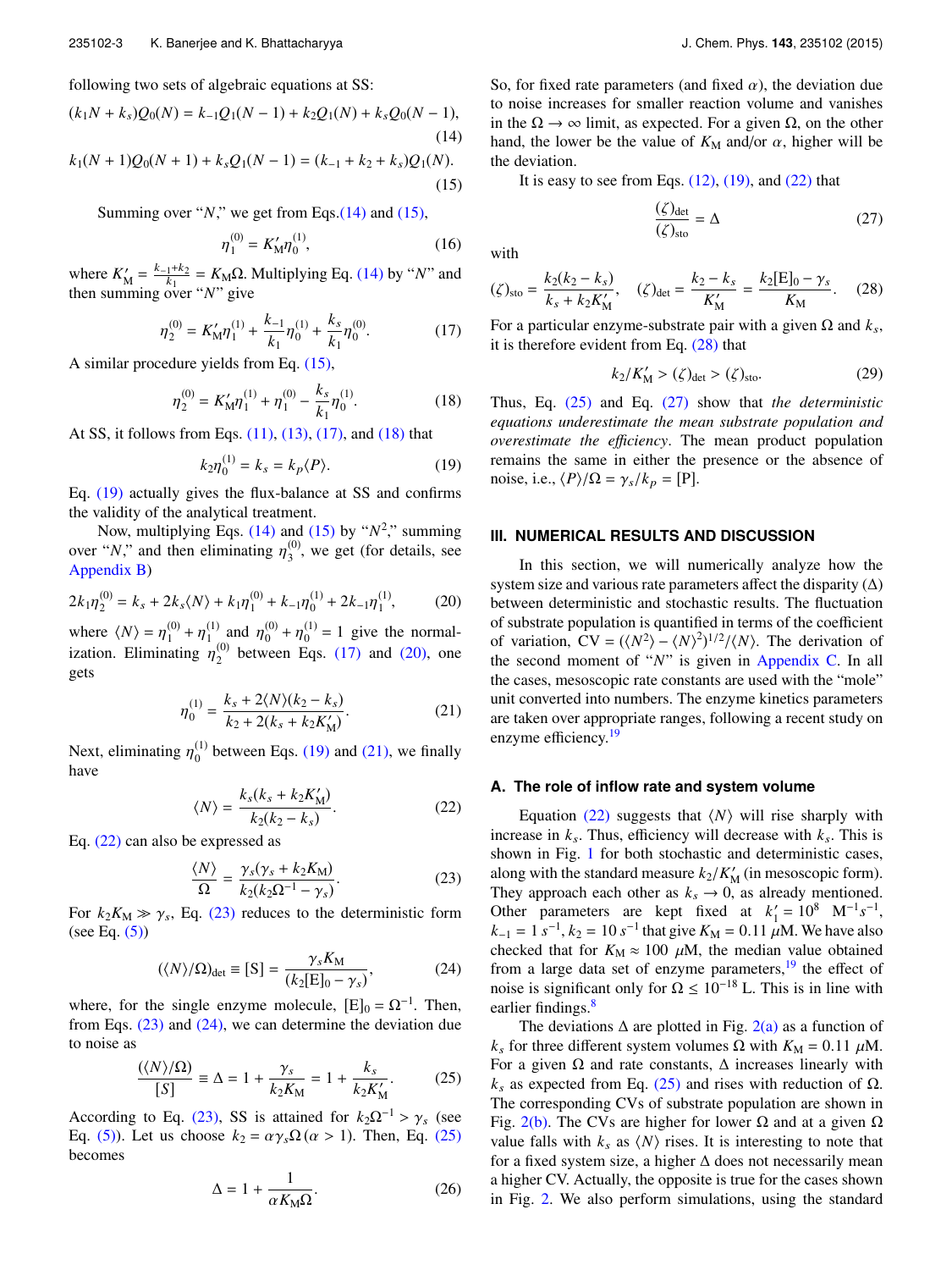following two sets of algebraic equations at SS:

$$
(k_1N + k_s)Q_0(N) = k_{-1}Q_1(N - 1) + k_2Q_1(N) + k_sQ_0(N - 1),
$$
\n(14)

$$
k_1(N+1)Q_0(N+1) + k_s Q_1(N-1) = (k_{-1} + k_2 + k_s)Q_1(N). \tag{15}
$$

Summing over "*N*," we get from Eqs.(14) and (15),

$$
\eta_1^{(0)} = K_M' \eta_0^{(1)},\tag{16}
$$

where  $K'_{\lambda}$  $M' = \frac{k_{-1}+k_2}{k_1}$  $\frac{1+k_2}{k_1} = K_{\text{M}}\Omega$ . Multiplying Eq. (14) by "*N*" and then summing over "*N*" give

$$
\eta_2^{(0)} = K'_M \eta_1^{(1)} + \frac{k_{-1}}{k_1} \eta_0^{(1)} + \frac{k_s}{k_1} \eta_0^{(0)}.
$$
 (17)

A similar procedure yields from Eq. (15),

$$
\eta_2^{(0)} = K'_M \eta_1^{(1)} + \eta_1^{(0)} - \frac{k_s}{k_1} \eta_0^{(1)}.
$$
 (18)

At SS, it follows from Eqs. (11), (13), (17), and (18) that

$$
k_2 \eta_0^{(1)} = k_s = k_p \langle P \rangle.
$$
 (19)

Eq. (19) actually gives the flux-balance at SS and confirms the validity of the analytical treatment.

Now, multiplying Eqs.  $(14)$  and  $(15)$  by " $N^2$ ," summing over "*N*," and then eliminating  $\eta_3^{(0)}$  $3^{(0)}$ , we get (for details, see Appendix B)

$$
2k_1\eta_2^{(0)} = k_s + 2k_s \langle N \rangle + k_1 \eta_1^{(0)} + k_{-1} \eta_0^{(1)} + 2k_{-1} \eta_1^{(1)},\tag{20}
$$

where  $\langle N \rangle = \eta_1^{(0)}$  $\eta_1^{(0)} + \eta_1^{(1)}$  $\eta_1^{(1)}$  and  $\eta_0^{(0)}$  $\eta_0^{(0)} + \eta_0^{(1)}$  $_0^{(1)} = 1$  give the normalization. Eliminating  $\eta_2^{(0)}$  $_{2}^{\text{\tiny{(0)}}}$  between Eqs. (17) and (20), one gets

$$
\eta_0^{(1)} = \frac{k_s + 2\langle N \rangle (k_2 - k_s)}{k_2 + 2(k_s + k_2 K_M')}.
$$
\n(21)

Next, eliminating  $\eta_0^{(1)}$  $_0^{(1)}$  between Eqs. (19) and (21), we finally have

$$
\langle N \rangle = \frac{k_s(k_s + k_2 K'_M)}{k_2(k_2 - k_s)}.
$$
\n(22)

Eq. (22) can also be expressed as

$$
\frac{\langle N \rangle}{\Omega} = \frac{\gamma_s (\gamma_s + k_2 K_{\rm M})}{k_2 (k_2 \Omega^{-1} - \gamma_s)}.
$$
\n(23)

For  $k_2K_M \gg \gamma_s$ , Eq. (23) reduces to the deterministic form (see Eq.  $(5)$ )

$$
(\langle N \rangle/\Omega)_{\text{det}} \equiv [S] = \frac{\gamma_s K_M}{(k_2 [E]_0 - \gamma_s)},\tag{24}
$$

where, for the single enzyme molecule,  $[E]_0 = \Omega^{-1}$ . Then, from Eqs.  $(23)$  and  $(24)$ , we can determine the deviation due to noise as

$$
\frac{(\langle N \rangle/\Omega)}{[S]} \equiv \Delta = 1 + \frac{\gamma_s}{k_2 K_{\rm M}} = 1 + \frac{k_s}{k_2 K_{\rm M}'}.
$$
 (25)

According to Eq. (23), SS is attained for  $k_2\Omega^{-1} > \gamma_s$  (see Eq. (5)). Let us choose  $k_2 = \alpha \gamma_s \Omega(\alpha > 1)$ . Then, Eq. (25) becomes

$$
\Delta = 1 + \frac{1}{\alpha K_{\rm M} \Omega}.
$$
 (26)

So, for fixed rate parameters (and fixed  $\alpha$ ), the deviation due to noise increases for smaller reaction volume and vanishes in the  $\Omega \to \infty$  limit, as expected. For a given  $\Omega$ , on the other hand, the lower be the value of  $K_M$  and/or  $\alpha$ , higher will be the deviation.

It is easy to see from Eqs.  $(12)$ ,  $(19)$ , and  $(22)$  that

$$
\frac{(\zeta)_{\text{det}}}{(\zeta)_{\text{sto}}} = \Delta \tag{27}
$$

with

$$
(\zeta)_{\text{sto}} = \frac{k_2(k_2 - k_s)}{k_s + k_2 K'_M}, \quad (\zeta)_{\text{det}} = \frac{k_2 - k_s}{K'_M} = \frac{k_2[E]_0 - \gamma_s}{K_M}.
$$
 (28)

For a particular enzyme-substrate pair with a given  $\Omega$  and  $k_s$ , it is therefore evident from Eq. (28) that

$$
k_2/K'_{\rm M} > (\zeta)_{\rm det} > (\zeta)_{\rm sto}.\tag{29}
$$

Thus, Eq. (25) and Eq. (27) show that *the deterministic equations underestimate the mean substrate population and overestimate the e*ffi*ciency*. The mean product population remains the same in either the presence or the absence of noise, i.e.,  $\langle P \rangle / \Omega = \gamma_s / k_p = [P]$ .

# **III. NUMERICAL RESULTS AND DISCUSSION**

In this section, we will numerically analyze how the system size and various rate parameters affect the disparity  $(\Delta)$ between deterministic and stochastic results. The fluctuation of substrate population is quantified in terms of the coefficient of variation,  $CV = (\langle N^2 \rangle - \langle N \rangle^2)^{1/2} / \langle N \rangle$ . The derivation of the second moment of "*N*" is given in Appendix C. In all the cases, mesoscopic rate constants are used with the "mole" unit converted into numbers. The enzyme kinetics parameters are taken over appropriate ranges, following a recent study on enzyme efficiency.<sup>19</sup>

## **A. The role of inflow rate and system volume**

Equation  $(22)$  suggests that  $\langle N \rangle$  will rise sharply with increase in  $k_s$ . Thus, efficiency will decrease with  $k_s$ . This is shown in Fig. 1 for both stochastic and deterministic cases, along with the standard measure  $k_2/K'_h$  $\frac{1}{M}$  (in mesoscopic form). They approach each other as  $k_s \rightarrow 0$ , as already mentioned. Other parameters are kept fixed at  $k_1$ <sup>'</sup>  $'_{1} = 10^{8}$  M<sup>-1</sup>s<sup>-1</sup>,  $k_{-1} = 1 \text{ s}^{-1}, k_2 = 10 \text{ s}^{-1}$  that give  $K_M = 0.11 \mu M$ . We have also checked that for  $K_M \approx 100 \mu M$ , the median value obtained from a large data set of enzyme parameters,<sup>19</sup> the effect of noise is significant only for  $\Omega \leq 10^{-18}$  L. This is in line with earlier findings.<sup>8</sup>

The deviations  $\Delta$  are plotted in Fig. 2(a) as a function of  $k_s$  for three different system volumes Ω with  $K_M = 0.11 \mu M$ . For a given  $\Omega$  and rate constants,  $\Delta$  increases linearly with  $k<sub>s</sub>$  as expected from Eq. (25) and rises with reduction of Ω. The corresponding CVs of substrate population are shown in Fig. 2(b). The CVs are higher for lower  $\Omega$  and at a given  $\Omega$ value falls with  $k_s$  as  $\langle N \rangle$  rises. It is interesting to note that for a fixed system size, a higher ∆ does not necessarily mean a higher CV. Actually, the opposite is true for the cases shown in Fig. 2. We also perform simulations, using the standard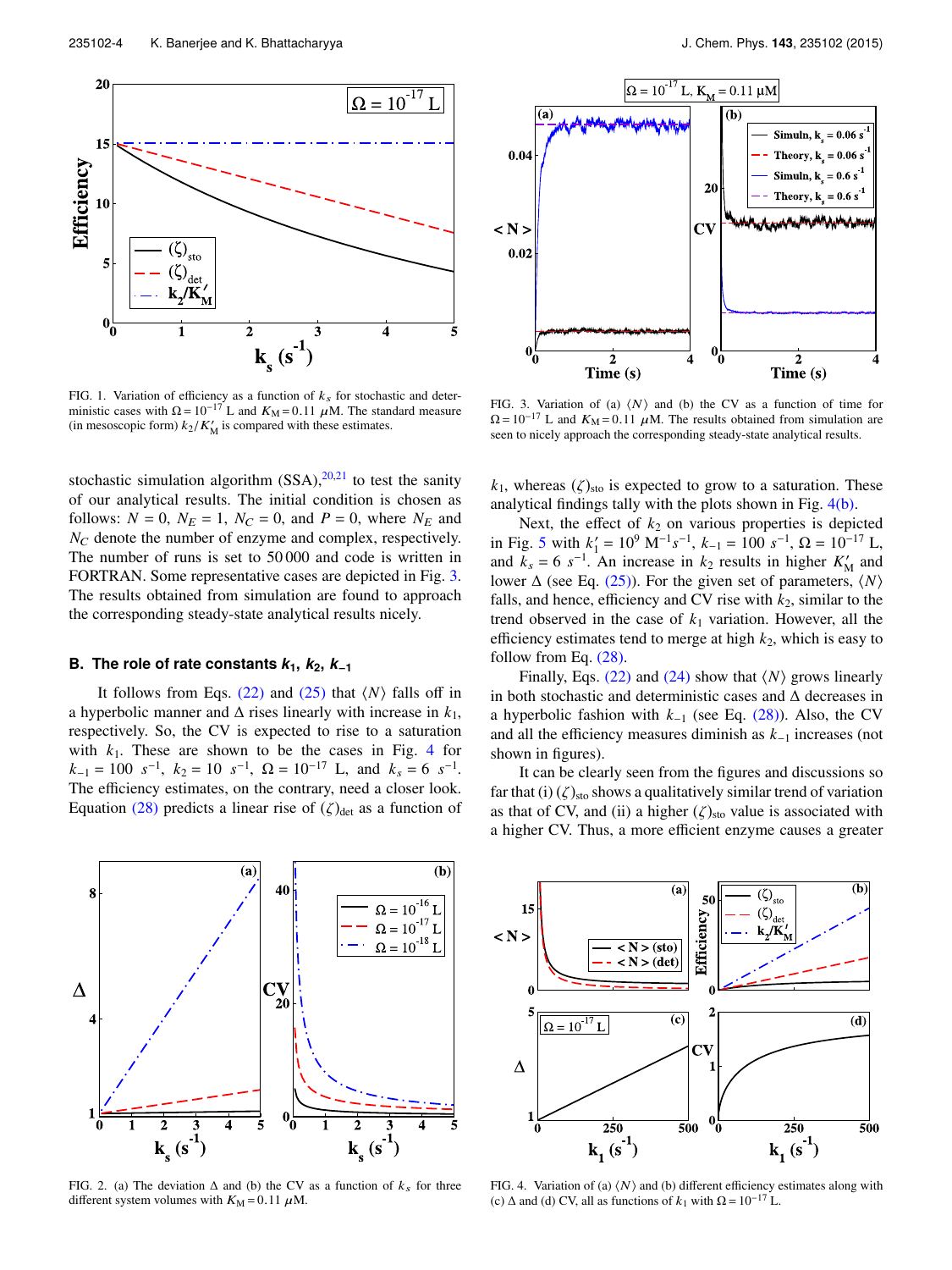

FIG. 1. Variation of efficiency as a function of  $k<sub>s</sub>$  for stochastic and deterministic cases with  $\Omega = 10^{-17}$  L and  $K_M = 0.11 \mu M$ . The standard measure (in mesoscopic form)  $k_2/K'_M$  is compared with these estimates.

stochastic simulation algorithm  $(SSA)$ , <sup>20,21</sup> to test the sanity of our analytical results. The initial condition is chosen as follows:  $N = 0$ ,  $N_E = 1$ ,  $N_C = 0$ , and  $P = 0$ , where  $N_E$  and  $N_C$  denote the number of enzyme and complex, respectively. The number of runs is set to 50 000 and code is written in FORTRAN. Some representative cases are depicted in Fig. 3. The results obtained from simulation are found to approach the corresponding steady-state analytical results nicely.

#### **B.** The role of rate constants  $k_1$ ,  $k_2$ ,  $k_{-1}$

It follows from Eqs.  $(22)$  and  $(25)$  that  $\langle N \rangle$  falls off in a hyperbolic manner and  $\Delta$  rises linearly with increase in  $k_1$ , respectively. So, the CV is expected to rise to a saturation with  $k_1$ . These are shown to be the cases in Fig. 4 for  $k_{-1} = 100 \text{ s}^{-1}, k_2 = 10 \text{ s}^{-1}, \Omega = 10^{-17} \text{ L}, \text{ and } k_s = 6 \text{ s}^{-1}.$ The efficiency estimates, on the contrary, need a closer look. Equation (28) predicts a linear rise of  $(\zeta)_{\text{det}}$  as a function of





FIG. 3. Variation of (a)  $\langle N \rangle$  and (b) the CV as a function of time for  $\Omega = 10^{-17}$  L and  $K_M = 0.11$   $\mu$ M. The results obtained from simulation are seen to nicely approach the corresponding steady-state analytical results.

 $k_1$ , whereas  $(\zeta)_{\text{sto}}$  is expected to grow to a saturation. These analytical findings tally with the plots shown in Fig. 4(b).

Next, the effect of  $k_2$  on various properties is depicted in Fig. 5 with  $k_1$ <sup>'</sup>  $I_1' = 10^9$  M<sup>-1</sup>s<sup>-1</sup>,  $k_{-1} = 100$  s<sup>-1</sup>,  $\Omega = 10^{-17}$  L, and  $k_s = 6 s^{-1}$ . An increase in  $k_2$  results in higher  $K'_h$  $\frac{7}{M}$  and lower  $\Delta$  (see Eq. (25)). For the given set of parameters,  $\langle N \rangle$ falls, and hence, efficiency and CV rise with  $k_2$ , similar to the trend observed in the case of  $k_1$  variation. However, all the efficiency estimates tend to merge at high  $k_2$ , which is easy to follow from Eq. (28).

Finally, Eqs.  $(22)$  and  $(24)$  show that  $\langle N \rangle$  grows linearly in both stochastic and deterministic cases and ∆ decreases in a hyperbolic fashion with *k*<sup>−</sup><sup>1</sup> (see Eq. (28)). Also, the CV and all the efficiency measures diminish as *k*<sup>−</sup><sup>1</sup> increases (not shown in figures).

It can be clearly seen from the figures and discussions so far that (i)  $(\zeta)_{\text{sto}}$  shows a qualitatively similar trend of variation as that of CV, and (ii) a higher  $(\zeta)_{\text{sto}}$  value is associated with a higher CV. Thus, a more efficient enzyme causes a greater



FIG. 2. (a) The deviation  $\Delta$  and (b) the CV as a function of  $k_s$  for three different system volumes with  $K_M = 0.11 \mu M$ .



FIG. 4. Variation of (a)  $\langle N \rangle$  and (b) different efficiency estimates along with (c)  $\Delta$  and (d) CV, all as functions of  $k_1$  with  $\Omega = 10^{-17}$  L.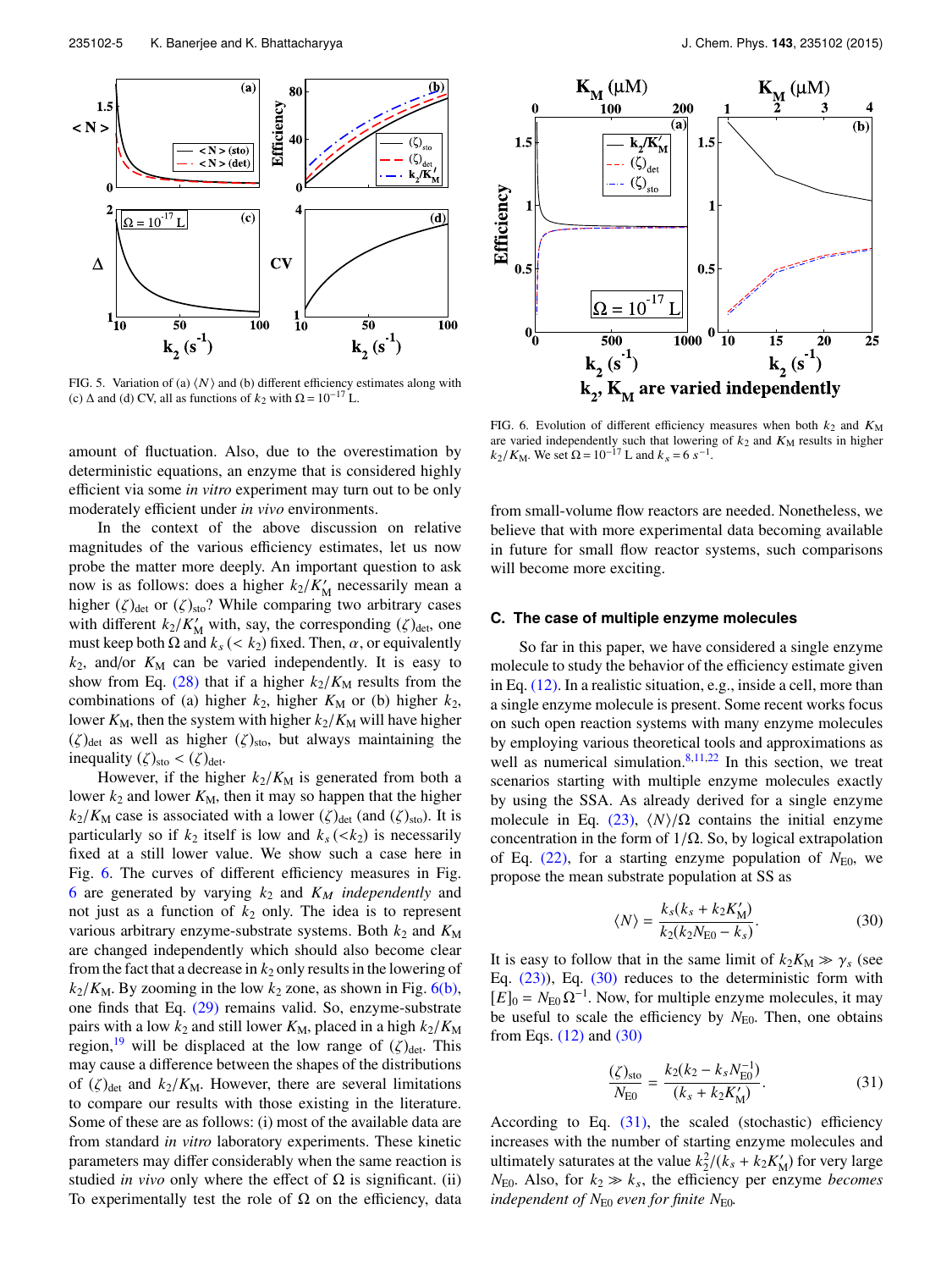

FIG. 5. Variation of (a)  $\langle N \rangle$  and (b) different efficiency estimates along with (c)  $\Delta$  and (d) CV, all as functions of  $k_2$  with  $\Omega = 10^{-17}$  L.

amount of fluctuation. Also, due to the overestimation by deterministic equations, an enzyme that is considered highly efficient via some *in vitro* experiment may turn out to be only moderately efficient under *in vivo* environments.

In the context of the above discussion on relative magnitudes of the various efficiency estimates, let us now probe the matter more deeply. An important question to ask now is as follows: does a higher  $k_2/K'_h$ M necessarily mean a higher ( $\zeta$ )<sub>det</sub> or ( $\zeta$ )<sub>sto</sub>? While comparing two arbitrary cases with different  $k_2/K'_M$  with, say, the corresponding ( $\zeta$ )<sub>det</sub>, one must keep both  $\Omega$  and  $k_s$  (<  $k_2$ ) fixed. Then,  $\alpha$ , or equivalently  $k_2$ , and/or  $K_M$  can be varied independently. It is easy to show from Eq. (28) that if a higher  $k_2/K_M$  results from the combinations of (a) higher  $k_2$ , higher  $K_M$  or (b) higher  $k_2$ , lower  $K_M$ , then the system with higher  $k_2/K_M$  will have higher  $(\zeta)_{\text{det}}$  as well as higher  $(\zeta)_{\text{sto}}$ , but always maintaining the inequality  $(\zeta)_{\text{sto}} < (\zeta)_{\text{det}}$ .

However, if the higher  $k_2/K_M$  is generated from both a lower  $k_2$  and lower  $K_M$ , then it may so happen that the higher  $k_2/K_M$  case is associated with a lower ( $\zeta$ )<sub>det</sub> (and ( $\zeta$ )<sub>sto</sub>). It is particularly so if  $k_2$  itself is low and  $k_s$  (< $k_2$ ) is necessarily fixed at a still lower value. We show such a case here in Fig. 6. The curves of different efficiency measures in Fig. 6 are generated by varying  $k_2$  and  $K_M$  *independently* and not just as a function of  $k_2$  only. The idea is to represent various arbitrary enzyme-substrate systems. Both  $k_2$  and  $K_M$ are changed independently which should also become clear from the fact that a decrease in  $k_2$  only results in the lowering of  $k_2/K_M$ . By zooming in the low  $k_2$  zone, as shown in Fig. 6(b), one finds that Eq. (29) remains valid. So, enzyme-substrate pairs with a low  $k_2$  and still lower  $K_M$ , placed in a high  $k_2/K_M$ region,<sup>19</sup> will be displaced at the low range of  $(\zeta)_{\text{det}}$ . This may cause a difference between the shapes of the distributions of  $(\zeta)_{\text{det}}$  and  $k_2/K_M$ . However, there are several limitations to compare our results with those existing in the literature. Some of these are as follows: (i) most of the available data are from standard *in vitro* laboratory experiments. These kinetic parameters may differ considerably when the same reaction is studied *in vivo* only where the effect of  $\Omega$  is significant. (ii) To experimentally test the role of  $\Omega$  on the efficiency, data



FIG. 6. Evolution of different efficiency measures when both  $k_2$  and  $K_M$ are varied independently such that lowering of  $k_2$  and  $K_M$  results in higher  $k_2/K_M$ . We set  $\Omega = 10^{-17}$  L and  $k_s = 6$  s<sup>-1</sup>.

from small-volume flow reactors are needed. Nonetheless, we believe that with more experimental data becoming available in future for small flow reactor systems, such comparisons will become more exciting.

## **C. The case of multiple enzyme molecules**

So far in this paper, we have considered a single enzyme molecule to study the behavior of the efficiency estimate given in Eq. (12). In a realistic situation, e.g., inside a cell, more than a single enzyme molecule is present. Some recent works focus on such open reaction systems with many enzyme molecules by employing various theoretical tools and approximations as well as numerical simulation. $8,11,22$  In this section, we treat scenarios starting with multiple enzyme molecules exactly by using the SSA. As already derived for a single enzyme molecule in Eq.  $(23)$ ,  $\langle N \rangle/\Omega$  contains the initial enzyme concentration in the form of  $1/\Omega$ . So, by logical extrapolation of Eq.  $(22)$ , for a starting enzyme population of  $N_{E0}$ , we propose the mean substrate population at SS as

$$
\langle N \rangle = \frac{k_s(k_s + k_2 K'_{\rm M})}{k_2(k_2 N_{\rm E0} - k_s)}.
$$
\n(30)

It is easy to follow that in the same limit of  $k_2K_M \gg \gamma_s$  (see Eq. (23)), Eq. (30) reduces to the deterministic form with  $[E]_0 = N_{E0} \Omega^{-1}$ . Now, for multiple enzyme molecules, it may be useful to scale the efficiency by  $N_{E0}$ . Then, one obtains from Eqs. (12) and (30)

$$
\frac{(\zeta)_{\rm sto}}{N_{\rm E0}} = \frac{k_2(k_2 - k_s N_{\rm E0}^{-1})}{(k_s + k_2 K_M')}.
$$
\n(31)

According to Eq.  $(31)$ , the scaled (stochastic) efficiency increases with the number of starting enzyme molecules and ultimately saturates at the value  $k_2^2/(k_s + k_2 K'_h)$  $\binom{m}{M}$  for very large  $N_{E0}$ . Also, for  $k_2 \gg k_s$ , the efficiency per enzyme *becomes independent of N*E0 *even for finite N*E0*.*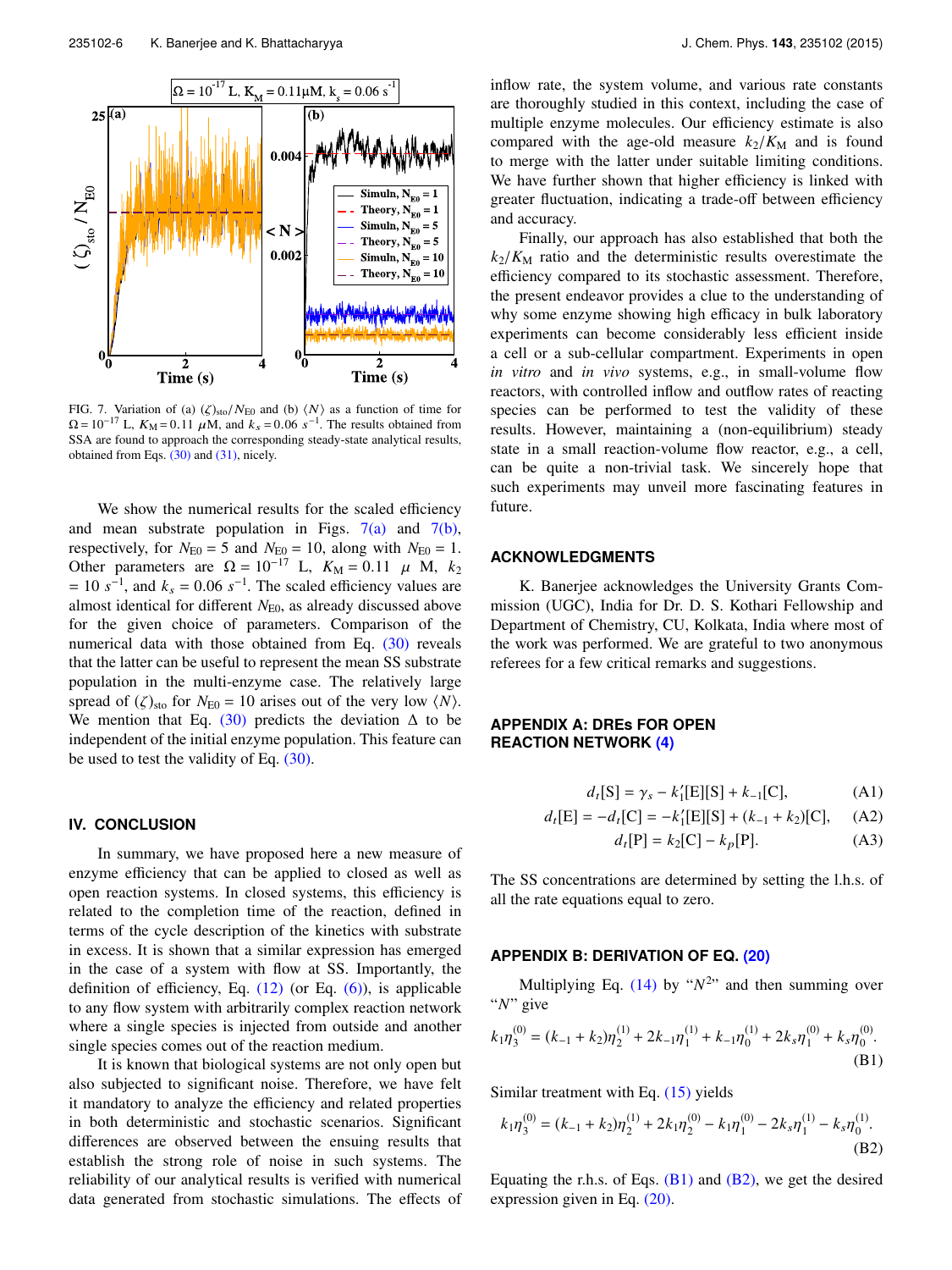

FIG. 7. Variation of (a)  $(\zeta)_{\text{sto}}/N_{\text{E0}}$  and (b)  $\langle N \rangle$  as a function of time for  $\Omega = 10^{-17}$  L,  $K_M = 0.11 \mu M$ , and  $k_s = 0.06 \text{ s}^{-1}$ . The results obtained from SSA are found to approach the corresponding steady-state analytical results, obtained from Eqs. (30) and (31), nicely.

We show the numerical results for the scaled efficiency and mean substrate population in Figs.  $7(a)$  and  $7(b)$ , respectively, for  $N_{E0} = 5$  and  $N_{E0} = 10$ , along with  $N_{E0} = 1$ . Other parameters are  $\Omega = 10^{-17}$  L,  $K_M = 0.11$   $\mu$  M,  $k_2$  $= 10 s^{-1}$ , and  $k_s = 0.06 s^{-1}$ . The scaled efficiency values are almost identical for different *N*<sub>E0</sub>, as already discussed above for the given choice of parameters. Comparison of the numerical data with those obtained from Eq. (30) reveals that the latter can be useful to represent the mean SS substrate population in the multi-enzyme case. The relatively large spread of  $(\zeta)_{\text{sto}}$  for  $N_{\text{E0}} = 10$  arises out of the very low  $\langle N \rangle$ . We mention that Eq. (30) predicts the deviation  $\Delta$  to be independent of the initial enzyme population. This feature can be used to test the validity of Eq. (30).

# **IV. CONCLUSION**

In summary, we have proposed here a new measure of enzyme efficiency that can be applied to closed as well as open reaction systems. In closed systems, this efficiency is related to the completion time of the reaction, defined in terms of the cycle description of the kinetics with substrate in excess. It is shown that a similar expression has emerged in the case of a system with flow at SS. Importantly, the definition of efficiency, Eq.  $(12)$  (or Eq.  $(6)$ ), is applicable to any flow system with arbitrarily complex reaction network where a single species is injected from outside and another single species comes out of the reaction medium.

It is known that biological systems are not only open but also subjected to significant noise. Therefore, we have felt it mandatory to analyze the efficiency and related properties in both deterministic and stochastic scenarios. Significant differences are observed between the ensuing results that establish the strong role of noise in such systems. The reliability of our analytical results is verified with numerical data generated from stochastic simulations. The effects of inflow rate, the system volume, and various rate constants are thoroughly studied in this context, including the case of multiple enzyme molecules. Our efficiency estimate is also compared with the age-old measure  $k_2/K_M$  and is found to merge with the latter under suitable limiting conditions. We have further shown that higher efficiency is linked with greater fluctuation, indicating a trade-off between efficiency and accuracy.

Finally, our approach has also established that both the  $k_2/K_M$  ratio and the deterministic results overestimate the efficiency compared to its stochastic assessment. Therefore, the present endeavor provides a clue to the understanding of why some enzyme showing high efficacy in bulk laboratory experiments can become considerably less efficient inside a cell or a sub-cellular compartment. Experiments in open *in vitro* and *in vivo* systems, e.g., in small-volume flow reactors, with controlled inflow and outflow rates of reacting species can be performed to test the validity of these results. However, maintaining a (non-equilibrium) steady state in a small reaction-volume flow reactor, e.g., a cell, can be quite a non-trivial task. We sincerely hope that such experiments may unveil more fascinating features in future.

## **ACKNOWLEDGMENTS**

K. Banerjee acknowledges the University Grants Commission (UGC), India for Dr. D. S. Kothari Fellowship and Department of Chemistry, CU, Kolkata, India where most of the work was performed. We are grateful to two anonymous referees for a few critical remarks and suggestions.

# **APPENDIX A: DREs FOR OPEN REACTION NETWORK (4)**

$$
d_t[S] = \gamma_s - k'_1[E][S] + k_{-1}[C], \tag{A1}
$$

$$
d_t[\mathbf{E}] = -d_t[\mathbf{C}] = -k'_1[\mathbf{E}][\mathbf{S}] + (k_{-1} + k_2)[\mathbf{C}], \quad \text{(A2)}
$$

$$
d_t[P] = k_2[C] - k_p[P].
$$
 (A3)

The SS concentrations are determined by setting the l.h.s. of all the rate equations equal to zero.

# **APPENDIX B: DERIVATION OF EQ. (20)**

Multiplying Eq.  $(14)$  by " $N^{2}$ " and then summing over "*N*" give

$$
k_1\eta_3^{(0)} = (k_{-1} + k_2)\eta_2^{(1)} + 2k_{-1}\eta_1^{(1)} + k_{-1}\eta_0^{(1)} + 2k_s\eta_1^{(0)} + k_s\eta_0^{(0)}.
$$
\n(B1)

Similar treatment with Eq. (15) yields

$$
k_1\eta_3^{(0)} = (k_{-1} + k_2)\eta_2^{(1)} + 2k_1\eta_2^{(0)} - k_1\eta_1^{(0)} - 2k_s\eta_1^{(1)} - k_s\eta_0^{(1)}.
$$
\n(B2)

Equating the r.h.s. of Eqs.  $(B1)$  and  $(B2)$ , we get the desired expression given in Eq. (20).